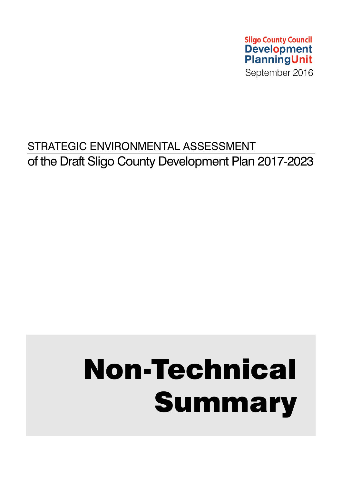

# STRATEGIC ENVIRONMENTAL ASSESSMENT of the Draft Sligo County Development Plan 2017-2023

# Non-Technical Summary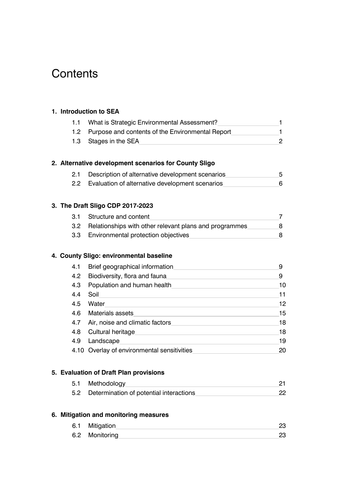# **Contents**

#### **1. Introduction to SEA**

| 1.1 What is Strategic Environmental Assessment?      |  |
|------------------------------------------------------|--|
| 1.2 Purpose and contents of the Environmental Report |  |
| 1.3 Stages in the SEA                                |  |

#### **2. Alternative development scenarios for County Sligo**

| 2.1     | Description of alternative development scenarios |  |
|---------|--------------------------------------------------|--|
| $2.2\,$ | Evaluation of alternative development scenarios  |  |

#### **3. The Draft Sligo CDP 2017-2023**

| 3.1 Structure and content                                  |  |
|------------------------------------------------------------|--|
| 3.2 Relationships with other relevant plans and programmes |  |
| 3.3 Environmental protection objectives                    |  |

#### **4. County Sligo: environmental baseline**

| 4.1 | Brief geographical information              | 9               |
|-----|---------------------------------------------|-----------------|
| 4.2 | Biodiversity, flora and fauna               | 9               |
| 4.3 | Population and human health                 | 10              |
| 4.4 | Soil                                        | 11              |
| 4.5 | Water                                       | 12 <sup>2</sup> |
|     | 4.6 Materials assets                        | 15              |
| 4.7 | Air, noise and climatic factors             | 18              |
|     | 4.8 Cultural heritage                       | 18              |
| 4.9 | Landscape                                   | 19              |
|     | 4.10 Overlay of environmental sensitivities | 20              |

#### **5. Evaluation of Draft Plan provisions**

| 5.1 Methodology                             |  |
|---------------------------------------------|--|
| 5.2 Determination of potential interactions |  |

#### **6. Mitigation and monitoring measures**

| 6.1 Mitigation |  |
|----------------|--|
| 6.2 Monitoring |  |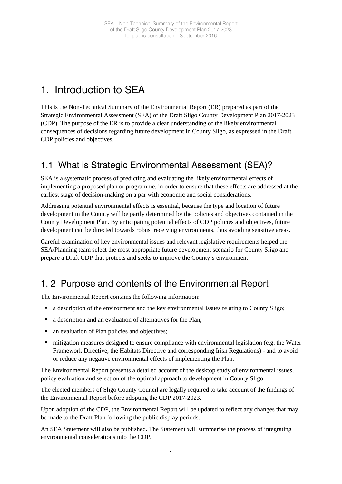# 1. Introduction to SEA

This is the Non-Technical Summary of the Environmental Report (ER) prepared as part of the Strategic Environmental Assessment (SEA) of the Draft Sligo County Development Plan 2017-2023 (CDP). The purpose of the ER is to provide a clear understanding of the likely environmental consequences of decisions regarding future development in County Sligo, as expressed in the Draft CDP policies and objectives.

# 1.1 What is Strategic Environmental Assessment (SEA)?

SEA is a systematic process of predicting and evaluating the likely environmental effects of implementing a proposed plan or programme, in order to ensure that these effects are addressed at the earliest stage of decision-making on a par with economic and social considerations.

Addressing potential environmental effects is essential, because the type and location of future development in the County will be partly determined by the policies and objectives contained in the County Development Plan. By anticipating potential effects of CDP policies and objectives, future development can be directed towards robust receiving environments, thus avoiding sensitive areas.

Careful examination of key environmental issues and relevant legislative requirements helped the SEA/Planning team select the most appropriate future development scenario for County Sligo and prepare a Draft CDP that protects and seeks to improve the County's environment.

# 1. 2 Purpose and contents of the Environmental Report

The Environmental Report contains the following information:

- a description of the environment and the key environmental issues relating to County Sligo;
- a description and an evaluation of alternatives for the Plan;
- an evaluation of Plan policies and objectives;
- mitigation measures designed to ensure compliance with environmental legislation (e.g. the Water Framework Directive, the Habitats Directive and corresponding Irish Regulations) - and to avoid or reduce any negative environmental effects of implementing the Plan.

The Environmental Report presents a detailed account of the desktop study of environmental issues, policy evaluation and selection of the optimal approach to development in County Sligo.

The elected members of Sligo County Council are legally required to take account of the findings of the Environmental Report before adopting the CDP 2017-2023.

Upon adoption of the CDP, the Environmental Report will be updated to reflect any changes that may be made to the Draft Plan following the public display periods.

An SEA Statement will also be published. The Statement will summarise the process of integrating environmental considerations into the CDP.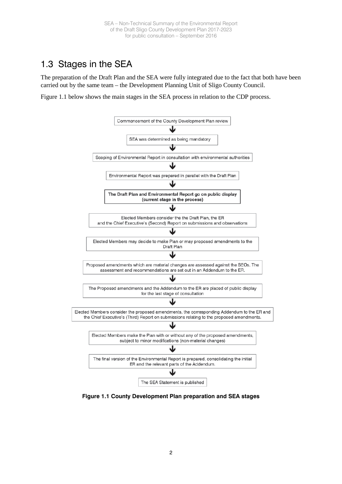# 1.3 Stages in the SEA

The preparation of the Draft Plan and the SEA were fully integrated due to the fact that both have been carried out by the same team – the Development Planning Unit of Sligo County Council.

Figure 1.1 below shows the main stages in the SEA process in relation to the CDP process.



**Figure 1.1 County Development Plan preparation and SEA stages**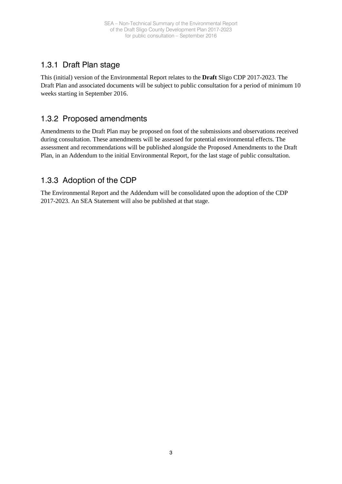#### 1.3.1 Draft Plan stage

This (initial) version of the Environmental Report relates to the **Draft** Sligo CDP 2017-2023. The Draft Plan and associated documents will be subject to public consultation for a period of minimum 10 weeks starting in September 2016.

## 1.3.2 Proposed amendments

Amendments to the Draft Plan may be proposed on foot of the submissions and observations received during consultation. These amendments will be assessed for potential environmental effects. The assessment and recommendations will be published alongside the Proposed Amendments to the Draft Plan, in an Addendum to the initial Environmental Report, for the last stage of public consultation.

# 1.3.3 Adoption of the CDP

The Environmental Report and the Addendum will be consolidated upon the adoption of the CDP 2017-2023. An SEA Statement will also be published at that stage.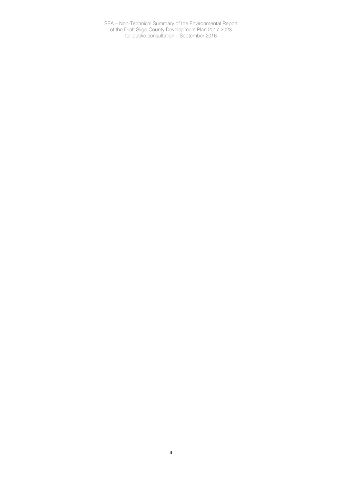SEA – Non-Technical Summary of the Environmental Report of the Draft Sligo County Development Plan 2017-2023 for public consultation – September 2016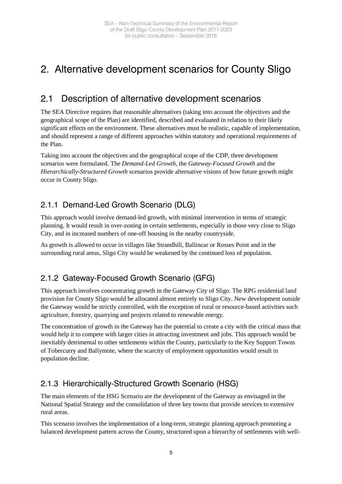# 2. Alternative development scenarios for County Sligo

# 2.1 Description of alternative development scenarios

The SEA Directive requires that reasonable alternatives (taking into account the objectives and the geographical scope of the Plan) are identified, described and evaluated in relation to their likely significant effects on the environment. These alternatives must be realistic, capable of implementation, and should represent a range of different approaches within statutory and operational requirements of the Plan.

Taking into account the objectives and the geographical scope of the CDP, three development scenarios were formulated. The *Demand-Led Growth*, the *Gateway-Focused Growth* and the *Hierarchically-Structured Growth* scenarios provide alternative visions of how future growth might occur in County Sligo.

# 2.1.1 Demand-Led Growth Scenario (DLG)

This approach would involve demand-led growth, with minimal intervention in terms of strategic planning. It would result in over-zoning in certain settlements, especially in those very close to Sligo City, and in increased numbers of one-off housing in the nearby countryside.

As growth is allowed to occur in villages like Strandhill, Ballincar or Rosses Point and in the surrounding rural areas, Sligo City would be weakened by the continued loss of population.

#### 2.1.2 Gateway-Focused Growth Scenario (GFG)

This approach involves concentrating growth in the Gateway City of Sligo. The RPG residential land provision for County Sligo would be allocated almost entirely to Sligo City. New development outside the Gateway would be strictly controlled, with the exception of rural or resource-based activities such agriculture, forestry, quarrying and projects related to renewable energy.

The concentration of growth in the Gateway has the potential to create a city with the critical mass that would help it to compete with larger cities in attracting investment and jobs. This approach would be inevitably detrimental to other settlements within the County, particularly to the Key Support Towns of Tobercurry and Ballymote, where the scarcity of employment opportunities would result in population decline.

#### 2.1.3 Hierarchically-Structured Growth Scenario (HSG)

The main elements of the HSG Scenario are the development of the Gateway as envisaged in the National Spatial Strategy and the consolidation of three key towns that provide services to extensive rural areas.

This scenario involves the implementation of a long-term, strategic planning approach promoting a balanced development pattern across the County, structured upon a hierarchy of settlements with well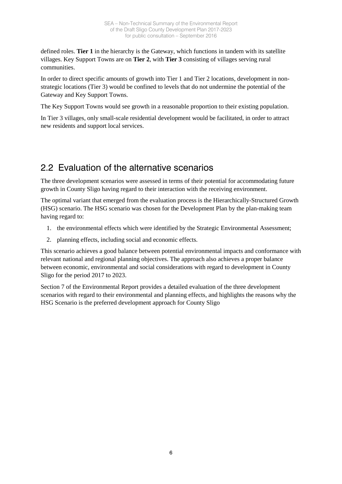defined roles. **Tier 1** in the hierarchy is the Gateway, which functions in tandem with its satellite villages. Key Support Towns are on **Tier 2**, with **Tier 3** consisting of villages serving rural communities.

In order to direct specific amounts of growth into Tier 1 and Tier 2 locations, development in nonstrategic locations (Tier 3) would be confined to levels that do not undermine the potential of the Gateway and Key Support Towns.

The Key Support Towns would see growth in a reasonable proportion to their existing population.

In Tier 3 villages, only small-scale residential development would be facilitated, in order to attract new residents and support local services.

# 2.2 Evaluation of the alternative scenarios

The three development scenarios were assessed in terms of their potential for accommodating future growth in County Sligo having regard to their interaction with the receiving environment.

The optimal variant that emerged from the evaluation process is the Hierarchically-Structured Growth (HSG) scenario. The HSG scenario was chosen for the Development Plan by the plan-making team having regard to:

- 1. the environmental effects which were identified by the Strategic Environmental Assessment;
- 2. planning effects, including social and economic effects.

This scenario achieves a good balance between potential environmental impacts and conformance with relevant national and regional planning objectives. The approach also achieves a proper balance between economic, environmental and social considerations with regard to development in County Sligo for the period 2017 to 2023.

Section 7 of the Environmental Report provides a detailed evaluation of the three development scenarios with regard to their environmental and planning effects, and highlights the reasons why the HSG Scenario is the preferred development approach for County Sligo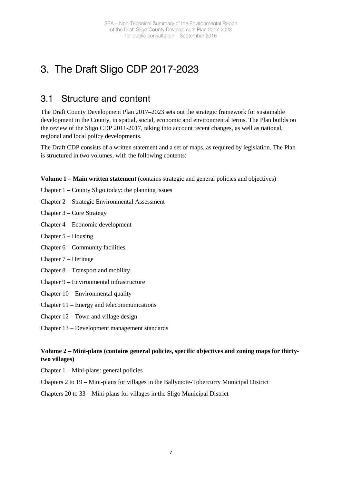# 3. The Draft Sligo CDP 2017-2023

# 3.1 Structure and content

The Draft County Development Plan 2017–2023 sets out the strategic framework for sustainable development in the County, in spatial, social, economic and environmental terms. The Plan builds on the review of the Sligo CDP 2011-2017, taking into account recent changes, as well as national, regional and local policy developments.

The Draft CDP consists of a written statement and a set of maps, as required by legislation. The Plan is structured in two volumes, with the following contents:

**Volume 1 – Main written statement** (contains strategic and general policies and objectives)

- Chapter 1 County Sligo today: the planning issues
- Chapter 2 Strategic Environmental Assessment
- Chapter 3 Core Strategy
- Chapter 4 Economic development
- Chapter 5 Housing
- Chapter 6 Community facilities
- Chapter 7 Heritage
- Chapter 8 Transport and mobility
- Chapter 9 Environmental infrastructure
- Chapter 10 Environmental quality
- Chapter 11 Energy and telecommunications
- Chapter 12 Town and village design
- Chapter 13 Development management standards

#### **Volume 2 – Mini-plans (contains general policies, specific objectives and zoning maps for thirtytwo villages)**

- Chapter 1 Mini-plans: general policies
- Chapters 2 to 19 Mini-plans for villages in the Ballymote-Tobercurry Municipal District
- Chapters 20 to 33 Mini-plans for villages in the Sligo Municipal District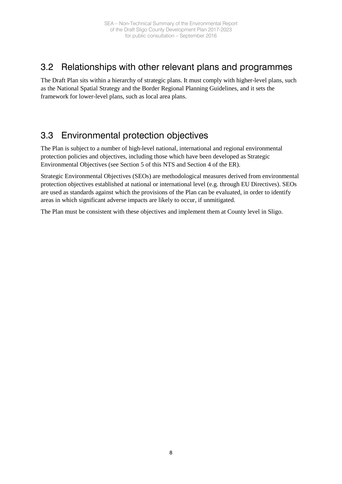# 3.2 Relationships with other relevant plans and programmes

The Draft Plan sits within a hierarchy of strategic plans. It must comply with higher-level plans, such as the National Spatial Strategy and the Border Regional Planning Guidelines, and it sets the framework for lower-level plans, such as local area plans.

# 3.3 Environmental protection objectives

The Plan is subject to a number of high-level national, international and regional environmental protection policies and objectives, including those which have been developed as Strategic Environmental Objectives (see Section 5 of this NTS and Section 4 of the ER).

Strategic Environmental Objectives (SEOs) are methodological measures derived from environmental protection objectives established at national or international level (e.g. through EU Directives). SEOs are used as standards against which the provisions of the Plan can be evaluated, in order to identify areas in which significant adverse impacts are likely to occur, if unmitigated.

The Plan must be consistent with these objectives and implement them at County level in Sligo.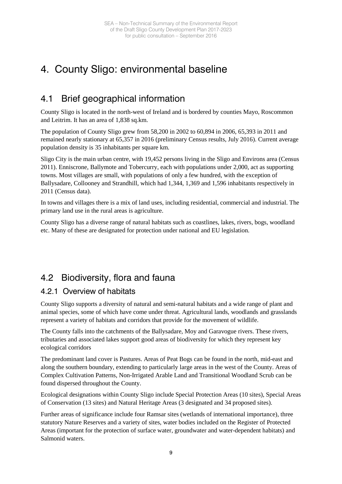# 4. County Sligo: environmental baseline

# 4.1 Brief geographical information

County Sligo is located in the north-west of Ireland and is bordered by counties Mayo, Roscommon and Leitrim. It has an area of 1,838 sq.km.

The population of County Sligo grew from 58,200 in 2002 to 60,894 in 2006, 65,393 in 2011 and remained nearly stationary at 65,357 in 2016 (preliminary Census results, July 2016). Current average population density is 35 inhabitants per square km.

Sligo City is the main urban centre, with 19,452 persons living in the Sligo and Environs area (Census 2011). Enniscrone, Ballymote and Tobercurry, each with populations under 2,000, act as supporting towns. Most villages are small, with populations of only a few hundred, with the exception of Ballysadare, Collooney and Strandhill, which had 1,344, 1,369 and 1,596 inhabitants respectively in 2011 (Census data).

In towns and villages there is a mix of land uses, including residential, commercial and industrial. The primary land use in the rural areas is agriculture.

County Sligo has a diverse range of natural habitats such as coastlines, lakes, rivers, bogs, woodland etc. Many of these are designated for protection under national and EU legislation.

# 4.2 Biodiversity, flora and fauna

#### 4.2.1 Overview of habitats

County Sligo supports a diversity of natural and semi-natural habitats and a wide range of plant and animal species, some of which have come under threat. Agricultural lands, woodlands and grasslands represent a variety of habitats and corridors that provide for the movement of wildlife.

The County falls into the catchments of the Ballysadare, Moy and Garavogue rivers. These rivers, tributaries and associated lakes support good areas of biodiversity for which they represent key ecological corridors

The predominant land cover is Pastures. Areas of Peat Bogs can be found in the north, mid-east and along the southern boundary, extending to particularly large areas in the west of the County. Areas of Complex Cultivation Patterns, Non-Irrigated Arable Land and Transitional Woodland Scrub can be found dispersed throughout the County.

Ecological designations within County Sligo include Special Protection Areas (10 sites), Special Areas of Conservation (13 sites) and Natural Heritage Areas (3 designated and 34 proposed sites).

Further areas of significance include four Ramsar sites (wetlands of international importance), three statutory Nature Reserves and a variety of sites, water bodies included on the Register of Protected Areas (important for the protection of surface water, groundwater and water-dependent habitats) and Salmonid waters.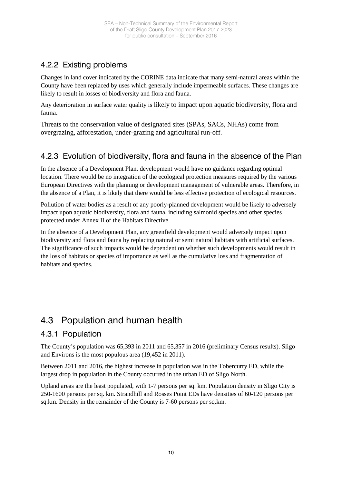## 4.2.2 Existing problems

Changes in land cover indicated by the CORINE data indicate that many semi-natural areas within the County have been replaced by uses which generally include impermeable surfaces. These changes are likely to result in losses of biodiversity and flora and fauna.

Any deterioration in surface water quality is likely to impact upon aquatic biodiversity, flora and fauna.

Threats to the conservation value of designated sites (SPAs, SACs, NHAs) come from overgrazing, afforestation, under-grazing and agricultural run-off.

#### 4.2.3 Evolution of biodiversity, flora and fauna in the absence of the Plan

In the absence of a Development Plan, development would have no guidance regarding optimal location. There would be no integration of the ecological protection measures required by the various European Directives with the planning or development management of vulnerable areas. Therefore, in the absence of a Plan, it is likely that there would be less effective protection of ecological resources.

Pollution of water bodies as a result of any poorly-planned development would be likely to adversely impact upon aquatic biodiversity, flora and fauna, including salmonid species and other species protected under Annex II of the Habitats Directive.

In the absence of a Development Plan, any greenfield development would adversely impact upon biodiversity and flora and fauna by replacing natural or semi natural habitats with artificial surfaces. The significance of such impacts would be dependent on whether such developments would result in the loss of habitats or species of importance as well as the cumulative loss and fragmentation of habitats and species.

# 4.3 Population and human health

#### 4.3.1 Population

The County's population was 65,393 in 2011 and 65,357 in 2016 (preliminary Census results). Sligo and Environs is the most populous area (19,452 in 2011).

Between 2011 and 2016, the highest increase in population was in the Tobercurry ED, while the largest drop in population in the County occurred in the urban ED of Sligo North.

Upland areas are the least populated, with 1-7 persons per sq. km. Population density in Sligo City is 250-1600 persons per sq. km. Strandhill and Rosses Point EDs have densities of 60-120 persons per sq.km. Density in the remainder of the County is 7-60 persons per sq.km.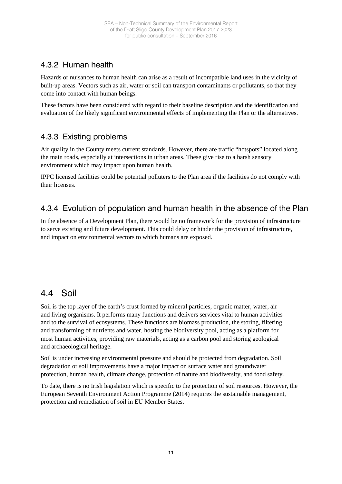#### 4.3.2 Human health

Hazards or nuisances to human health can arise as a result of incompatible land uses in the vicinity of built-up areas. Vectors such as air, water or soil can transport contaminants or pollutants, so that they come into contact with human beings.

These factors have been considered with regard to their baseline description and the identification and evaluation of the likely significant environmental effects of implementing the Plan or the alternatives.

#### 4.3.3 Existing problems

Air quality in the County meets current standards. However, there are traffic "hotspots" located along the main roads, especially at intersections in urban areas. These give rise to a harsh sensory environment which may impact upon human health.

IPPC licensed facilities could be potential polluters to the Plan area if the facilities do not comply with their licenses.

#### 4.3.4 Evolution of population and human health in the absence of the Plan

In the absence of a Development Plan, there would be no framework for the provision of infrastructure to serve existing and future development. This could delay or hinder the provision of infrastructure, and impact on environmental vectors to which humans are exposed.

# 4.4 Soil

Soil is the top layer of the earth's crust formed by mineral particles, organic matter, water, air and living organisms. It performs many functions and delivers services vital to human activities and to the survival of ecosystems. These functions are biomass production, the storing, filtering and transforming of nutrients and water, hosting the biodiversity pool, acting as a platform for most human activities, providing raw materials, acting as a carbon pool and storing geological and archaeological heritage.

Soil is under increasing environmental pressure and should be protected from degradation. Soil degradation or soil improvements have a major impact on surface water and groundwater protection, human health, climate change, protection of nature and biodiversity, and food safety.

To date, there is no Irish legislation which is specific to the protection of soil resources. However, the European [Seventh Environment Action Programme](http://eur-lex.europa.eu/legal-content/EN/TXT/?uri=CELEX:32013D1386) (2014) requires the sustainable management, protection and remediation of soil in EU Member States.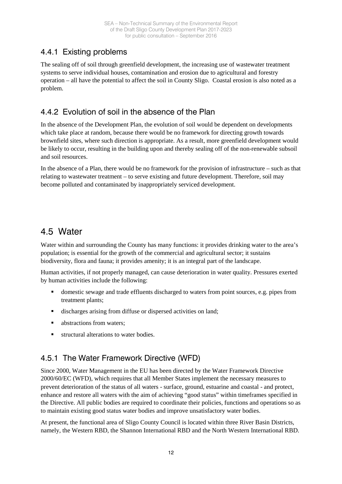## 4.4.1 Existing problems

The sealing off of soil through greenfield development, the increasing use of wastewater treatment systems to serve individual houses, contamination and erosion due to agricultural and forestry operation – all have the potential to affect the soil in County Sligo. Coastal erosion is also noted as a problem.

## 4.4.2 Evolution of soil in the absence of the Plan

In the absence of the Development Plan, the evolution of soil would be dependent on developments which take place at random, because there would be no framework for directing growth towards brownfield sites, where such direction is appropriate. As a result, more greenfield development would be likely to occur, resulting in the building upon and thereby sealing off of the non-renewable subsoil and soil resources.

In the absence of a Plan, there would be no framework for the provision of infrastructure – such as that relating to wastewater treatment – to serve existing and future development. Therefore, soil may become polluted and contaminated by inappropriately serviced development.

# 4.5 Water

Water within and surrounding the County has many functions: it provides drinking water to the area's population; is essential for the growth of the commercial and agricultural sector; it sustains biodiversity, flora and fauna; it provides amenity; it is an integral part of the landscape.

Human activities, if not properly managed, can cause deterioration in water quality. Pressures exerted by human activities include the following:

- domestic sewage and trade effluents discharged to waters from point sources, e.g. pipes from treatment plants;
- discharges arising from diffuse or dispersed activities on land;
- abstractions from waters;
- structural alterations to water bodies.

#### 4.5.1 The Water Framework Directive (WFD)

Since 2000, Water Management in the EU has been directed by the Water Framework Directive 2000/60/EC (WFD), which requires that all Member States implement the necessary measures to prevent deterioration of the status of all waters - surface, ground, estuarine and coastal - and protect, enhance and restore all waters with the aim of achieving "good status" within timeframes specified in the Directive. All public bodies are required to coordinate their policies, functions and operations so as to maintain existing good status water bodies and improve unsatisfactory water bodies.

At present, the functional area of Sligo County Council is located within three River Basin Districts, namely, the Western RBD, the Shannon International RBD and the North Western International RBD.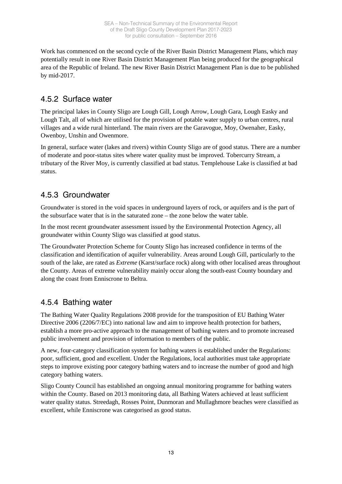Work has commenced on the second cycle of the River Basin District Management Plans, which may potentially result in one River Basin District Management Plan being produced for the geographical area of the Republic of Ireland. The new River Basin District Management Plan is due to be published by mid-2017.

#### 4.5.2 Surface water

The principal lakes in County Sligo are Lough Gill, Lough Arrow, Lough Gara, Lough Easky and Lough Talt, all of which are utilised for the provision of potable water supply to urban centres, rural villages and a wide rural hinterland. The main rivers are the Garavogue, Moy, Owenaher, Easky, Owenboy, Unshin and Owenmore.

In general, surface water (lakes and rivers) within County Sligo are of good status. There are a number of moderate and poor-status sites where water quality must be improved. Tobercurry Stream, a tributary of the River Moy, is currently classified at bad status. Templehouse Lake is classified at bad status.

#### 4.5.3 Groundwater

Groundwater is stored in the void spaces in underground layers of rock, or aquifers and is the part of the subsurface water that is in the saturated zone – the zone below the water table.

In the most recent groundwater assessment issued by the Environmental Protection Agency, all groundwater within County Sligo was classified at good status.

The Groundwater Protection Scheme for County Sligo has increased confidence in terms of the classification and identification of aquifer vulnerability. Areas around Lough Gill, particularly to the south of the lake, are rated as *Extreme* (Karst/surface rock) along with other localised areas throughout the County. Areas of extreme vulnerability mainly occur along the south-east County boundary and along the coast from Enniscrone to Beltra.

#### 4.5.4 Bathing water

The Bathing Water Quality Regulations 2008 provide for the transposition of EU Bathing Water Directive 2006 (2206/7/EC) into national law and aim to improve health protection for bathers, establish a more pro-active approach to the management of bathing waters and to promote increased public involvement and provision of information to members of the public.

A new, four-category classification system for bathing waters is established under the Regulations: poor, sufficient, good and excellent. Under the Regulations, local authorities must take appropriate steps to improve existing poor category bathing waters and to increase the number of good and high category bathing waters.

Sligo County Council has established an ongoing annual monitoring programme for bathing waters within the County. Based on 2013 monitoring data, all Bathing Waters achieved at least sufficient water quality status. Streedagh, Rosses Point, Dunmoran and Mullaghmore beaches were classified as excellent, while Enniscrone was categorised as good status.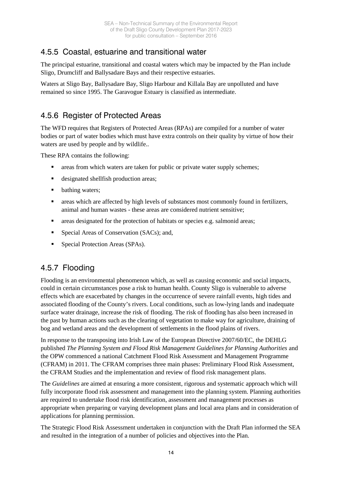#### 4.5.5 Coastal, estuarine and transitional water

The principal estuarine, transitional and coastal waters which may be impacted by the Plan include Sligo, Drumcliff and Ballysadare Bays and their respective estuaries.

Waters at Sligo Bay, Ballysadare Bay, Sligo Harbour and Killala Bay are unpolluted and have remained so since 1995. The Garavogue Estuary is classified as intermediate.

#### 4.5.6 Register of Protected Areas

The WFD requires that Registers of Protected Areas (RPAs) are compiled for a number of water bodies or part of water bodies which must have extra controls on their quality by virtue of how their waters are used by people and by wildlife..

These RPA contains the following:

- **areas from which waters are taken for public or private water supply schemes;**
- **designated shellfish production areas;**
- bathing waters;
- areas which are affected by high levels of substances most commonly found in fertilizers, animal and human wastes - these areas are considered nutrient sensitive;
- areas designated for the protection of habitats or species e.g. salmonid areas;
- **Special Areas of Conservation (SACs); and,**
- **Special Protection Areas (SPAs).**

#### 4.5.7 Flooding

Flooding is an environmental phenomenon which, as well as causing economic and social impacts, could in certain circumstances pose a risk to human health. County Sligo is vulnerable to adverse effects which are exacerbated by changes in the occurrence of severe rainfall events, high tides and associated flooding of the County's rivers. Local conditions, such as low-lying lands and inadequate surface water drainage, increase the risk of flooding. The risk of flooding has also been increased in the past by human actions such as the clearing of vegetation to make way for agriculture, draining of bog and wetland areas and the development of settlements in the flood plains of rivers.

In response to the transposing into Irish Law of the European Directive 2007/60/EC, the DEHLG published *The Planning System and Flood Risk Management Guidelines for Planning Authorities* and the OPW commenced a national Catchment Flood Risk Assessment and Management Programme (CFRAM) in 2011. The CFRAM comprises three main phases: Preliminary Flood Risk Assessment, the CFRAM Studies and the implementation and review of flood risk management plans.

The *Guidelines* are aimed at ensuring a more consistent, rigorous and systematic approach which will fully incorporate flood risk assessment and management into the planning system. Planning authorities are required to undertake flood risk identification, assessment and management processes as appropriate when preparing or varying development plans and local area plans and in consideration of applications for planning permission.

The Strategic Flood Risk Assessment undertaken in conjunction with the Draft Plan informed the SEA and resulted in the integration of a number of policies and objectives into the Plan.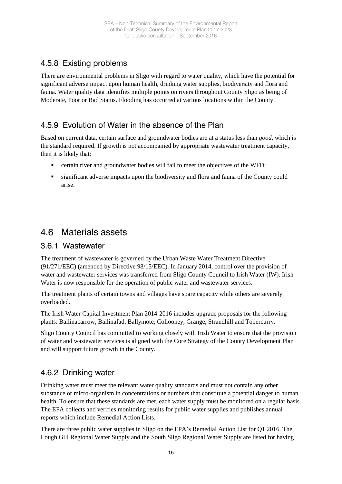# 4.5.8 Existing problems

There are environmental problems in Sligo with regard to water quality, which have the potential for significant adverse impact upon human health, drinking water supplies, biodiversity and flora and fauna. Water quality data identifies multiple points on rivers throughout County Sligo as being of Moderate, Poor or Bad Status. Flooding has occurred at various locations within the County.

#### 4.5.9 Evolution of Water in the absence of the Plan

Based on current data, certain surface and groundwater bodies are at a status less than *good*, which is the standard required. If growth is not accompanied by appropriate wastewater treatment capacity, then it is likely that:

- **Exercise** 1 certain river and groundwater bodies will fail to meet the objectives of the WFD;
- significant adverse impacts upon the biodiversity and flora and fauna of the County could arise.

# 4.6 Materials assets

#### 3.6.1 Wastewater

The treatment of wastewater is governed by the Urban Waste Water Treatment Directive (91/271/EEC) (amended by Directive 98/15/EEC). In January 2014, control over the provision of water and wastewater services was transferred from Sligo County Council to Irish Water (IW). Irish Water is now responsible for the operation of public water and wastewater services.

The treatment plants of certain towns and villages have spare capacity while others are severely overloaded.

The Irish Water Capital Investment Plan 2014-2016 includes upgrade proposals for the following plants: Ballinacarrow, Ballinafad, Ballymote, Collooney, Grange, Strandhill and Tobercurry.

Sligo County Council has committed to working closely with Irish Water to ensure that the provision of water and wastewater services is aligned with the Core Strategy of the County Development Plan and will support future growth in the County.

#### 4.6.2 Drinking water

Drinking water must meet the relevant water quality standards and must not contain any other substance or micro-organism in concentrations or numbers that constitute a potential danger to human health. To ensure that these standards are met, each water supply must be monitored on a regular basis. The EPA collects and verifies monitoring results for public water supplies and publishes annual reports which include Remedial Action Lists.

There are three public water supplies in Sligo on the EPA's Remedial Action List for Q1 2016. The Lough Gill Regional Water Supply and the South Sligo Regional Water Supply are listed for having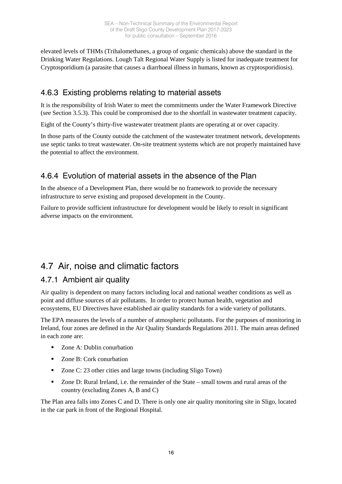elevated levels of THMs (Trihalomethanes, a group of organic chemicals) above the standard in the Drinking Water Regulations. Lough Talt Regional Water Supply is listed for inadequate treatment for Cryptosporidium (a parasite that causes a diarrhoeal illness in humans, known as cryptosporidiosis).

### 4.6.3 Existing problems relating to material assets

It is the responsibility of Irish Water to meet the commitments under the Water Framework Directive (see Section 3.5.3). This could be compromised due to the shortfall in wastewater treatment capacity.

Eight of the County's thirty-five wastewater treatment plants are operating at or over capacity.

In those parts of the County outside the catchment of the wastewater treatment network, developments use septic tanks to treat wastewater. On-site treatment systems which are not properly maintained have the potential to affect the environment.

#### 4.6.4 Evolution of material assets in the absence of the Plan

In the absence of a Development Plan, there would be no framework to provide the necessary infrastructure to serve existing and proposed development in the County.

Failure to provide sufficient infrastructure for development would be likely to result in significant adverse impacts on the environment.

# 4.7 Air, noise and climatic factors

#### 4.7.1 Ambient air quality

Air quality is dependent on many factors including local and national weather conditions as well as point and diffuse sources of air pollutants. In order to protect human health, vegetation and ecosystems, EU Directives have established air quality standards for a wide variety of pollutants.

The EPA measures the levels of a number of atmospheric pollutants. For the purposes of monitoring in Ireland, four zones are defined in the Air Quality Standards Regulations 2011. The main areas defined in each zone are:

- $\blacksquare$  Zone A: Dublin conurbation
- Zone B: Cork conurbation
- Zone C: 23 other cities and large towns (including Sligo Town)
- Zone D: Rural Ireland, i.e. the remainder of the State small towns and rural areas of the country (excluding Zones A, B and C)

The Plan area falls into Zones C and D. There is only one air quality monitoring site in Sligo, located in the car park in front of the Regional Hospital.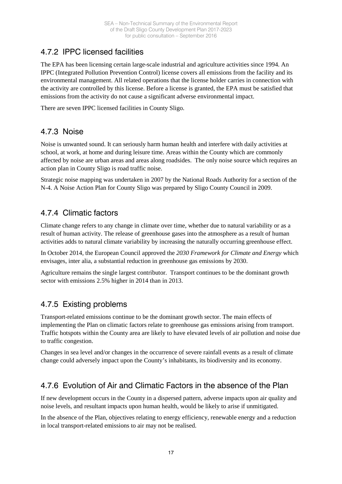## 4.7.2 IPPC licensed facilities

The EPA has been licensing certain large-scale industrial and agriculture activities since 1994. An IPPC (Integrated Pollution Prevention Control) license covers all emissions from the facility and its environmental management. All related operations that the license holder carries in connection with the activity are controlled by this license. Before a license is granted, the EPA must be satisfied that emissions from the activity do not cause a significant adverse environmental impact.

There are seven IPPC licensed facilities in County Sligo.

#### 4.7.3 Noise

Noise is unwanted sound. It can seriously harm human health and interfere with daily activities at school, at work, at home and during leisure time. Areas within the County which are commonly affected by noise are urban areas and areas along roadsides. The only noise source which requires an action plan in County Sligo is road traffic noise.

Strategic noise mapping was undertaken in 2007 by the National Roads Authority for a section of the N-4. A Noise Action Plan for County Sligo was prepared by Sligo County Council in 2009.

#### 4.7.4 Climatic factors

Climate change refers to any change in climate over time, whether due to natural variability or as a result of human activity. The release of greenhouse gases into the atmosphere as a result of human activities adds to natural climate variability by increasing the naturally occurring greenhouse effect.

In October 2014, the European Council approved the *2030 Framework for Climate and Energy* which envisages, inter alia, a substantial reduction in greenhouse gas emissions by 2030.

Agriculture remains the single largest contributor. Transport continues to be the dominant growth sector with emissions 2.5% higher in 2014 than in 2013.

#### 4.7.5 Existing problems

Transport-related emissions continue to be the dominant growth sector. The main effects of implementing the Plan on climatic factors relate to greenhouse gas emissions arising from transport. Traffic hotspots within the County area are likely to have elevated levels of air pollution and noise due to traffic congestion.

Changes in sea level and/or changes in the occurrence of severe rainfall events as a result of climate change could adversely impact upon the County's inhabitants, its biodiversity and its economy.

#### 4.7.6 Evolution of Air and Climatic Factors in the absence of the Plan

If new development occurs in the County in a dispersed pattern, adverse impacts upon air quality and noise levels, and resultant impacts upon human health, would be likely to arise if unmitigated.

In the absence of the Plan, objectives relating to energy efficiency, renewable energy and a reduction in local transport-related emissions to air may not be realised.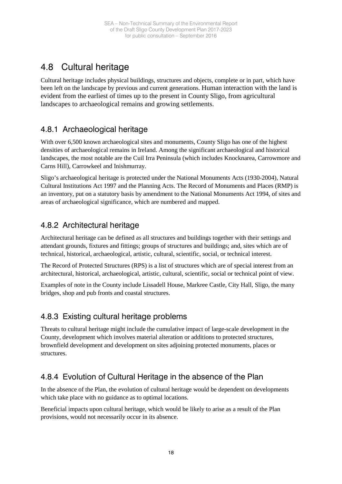# 4.8 Cultural heritage

Cultural heritage includes physical buildings, structures and objects, complete or in part, which have been left on the landscape by previous and current generations. Human interaction with the land is evident from the earliest of times up to the present in County Sligo, from agricultural landscapes to archaeological remains and growing settlements.

#### 4.8.1 Archaeological heritage

With over 6,500 known archaeological sites and monuments, County Sligo has one of the highest densities of archaeological remains in Ireland. Among the significant archaeological and historical landscapes, the most notable are the Cuil Irra Peninsula (which includes Knocknarea, Carrowmore and Carns Hill), Carrowkeel and Inishmurray.

Sligo's archaeological heritage is protected under the National Monuments Acts (1930-2004), Natural Cultural Institutions Act 1997 and the Planning Acts. The Record of Monuments and Places (RMP) is an inventory, put on a statutory basis by amendment to the National Monuments Act 1994, of sites and areas of archaeological significance, which are numbered and mapped.

## 4.8.2 Architectural heritage

Architectural heritage can be defined as all structures and buildings together with their settings and attendant grounds, fixtures and fittings; groups of structures and buildings; and, sites which are of technical, historical, archaeological, artistic, cultural, scientific, social, or technical interest.

The Record of Protected Structures (RPS) is a list of structures which are of special interest from an architectural, historical, archaeological, artistic, cultural, scientific, social or technical point of view.

Examples of note in the County include Lissadell House, Markree Castle, City Hall, Sligo, the many bridges, shop and pub fronts and coastal structures.

# 4.8.3 Existing cultural heritage problems

Threats to cultural heritage might include the cumulative impact of large-scale development in the County, development which involves material alteration or additions to protected structures, brownfield development and development on sites adjoining protected monuments, places or structures.

# 4.8.4 Evolution of Cultural Heritage in the absence of the Plan

In the absence of the Plan, the evolution of cultural heritage would be dependent on developments which take place with no guidance as to optimal locations.

Beneficial impacts upon cultural heritage, which would be likely to arise as a result of the Plan provisions, would not necessarily occur in its absence.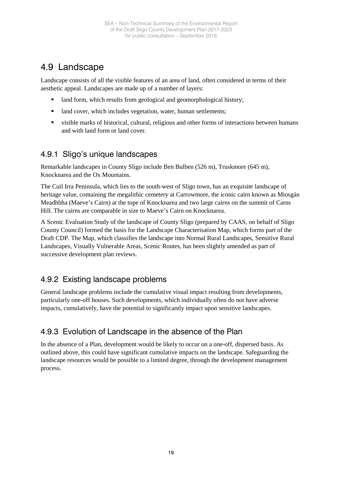# 4.9 Landscape

Landscape consists of all the visible features of an area of land, often considered in terms of their aesthetic appeal. Landscapes are made up of a number of layers:

- I and form, which results from geological and geomorphological history;
- I and cover, which includes vegetation, water, human settlements;
- visible marks of historical, cultural, religious and other forms of interactions between humans and with land form or land cover.

#### 4.9.1 Sligo's unique landscapes

Remarkable landscapes in County Sligo include Ben Bulben (526 m), Truskmore (645 m), Knocknarea and the Ox Mountains.

The Cuil Irra Peninsula, which lies to the south-west of Sligo town, has an exquisite landscape of heritage value, containing the megalithic cemetery at Carrowmore, the iconic cairn known as Miosgán Meadhbha (Maeve's Cairn) at the tope of Knocknarea and two large cairns on the summit of Carns Hill. The cairns are comparable in size to Maeve's Cairn on Knocknarea.

A Scenic Evaluation Study of the landscape of County Sligo (prepared by CAAS, on behalf of Sligo County Council) formed the basis for the Landscape Characterisation Map, which forms part of the Draft CDP. The Map, which classifies the landscape into Normal Rural Landscapes, Sensitive Rural Landscapes, Visually Vulnerable Areas, Scenic Routes, has been slightly amended as part of successive development plan reviews.

#### 4.9.2 Existing landscape problems

General landscape problems include the cumulative visual impact resulting from developments, particularly one-off houses. Such developments, which individually often do not have adverse impacts, cumulatively, have the potential to significantly impact upon sensitive landscapes.

#### 4.9.3 Evolution of Landscape in the absence of the Plan

In the absence of a Plan, development would be likely to occur on a one-off, dispersed basis. As outlined above, this could have significant cumulative impacts on the landscape. Safeguarding the landscape resources would be possible to a limited degree, through the development management process.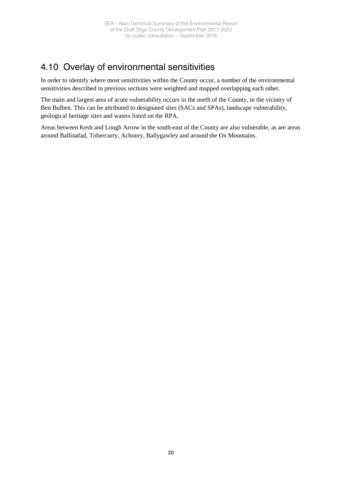# 4.10 Overlay of environmental sensitivities

In order to identify where most sensitivities within the County occur, a number of the environmental sensitivities described in previous sections were weighted and mapped overlapping each other.

The main and largest area of acute vulnerability occurs in the north of the County, in the vicinity of Ben Bulben. This can be attributed to designated sites (SACs and SPAs), landscape vulnerability, geological heritage sites and waters listed on the RPA.

Areas between Kesh and Lough Arrow in the south-east of the County are also vulnerable, as are areas around Ballinafad, Tobercurry, Achonry, Ballygawley and around the Ox Mountains.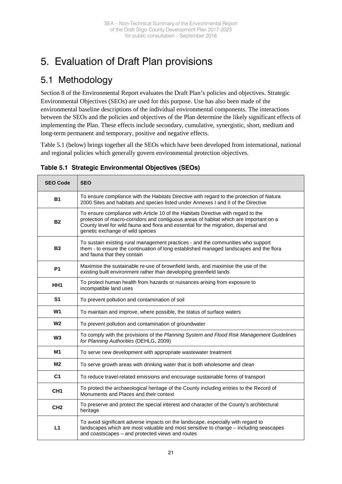# 5. Evaluation of Draft Plan provisions

# 5.1 Methodology

Section 8 of the Environmental Report evaluates the Draft Plan's policies and objectives. Strategic Environmental Objectives (SEOs) are used for this purpose. Use has also been made of the environmental baseline descriptions of the individual environmental components. The interactions between the SEOs and the policies and objectives of the Plan determine the likely significant effects of implementing the Plan. These effects include secondary, cumulative, synergistic, short, medium and long-term permanent and temporary, positive and negative effects.

Table 5.1 (below) brings together all the SEOs which have been developed from international, national and regional policies which generally govern environmental protection objectives.

|  | Table 5.1 Strategic Environmental Objectives (SEOs) |  |
|--|-----------------------------------------------------|--|
|  |                                                     |  |

| <b>SEO Code</b> | <b>SEO</b>                                                                                                                                                                                                                                                                                              |
|-----------------|---------------------------------------------------------------------------------------------------------------------------------------------------------------------------------------------------------------------------------------------------------------------------------------------------------|
| <b>B1</b>       | To ensure compliance with the Habitats Directive with regard to the protection of Natura<br>2000 Sites and habitats and species listed under Annexes I and II of the Directive                                                                                                                          |
| <b>B2</b>       | To ensure compliance with Article 10 of the Habitats Directive with regard to the<br>protection of macro-corridors and contiguous areas of habitat which are important on a<br>County level for wild fauna and flora and essential for the migration, dispersal and<br>genetic exchange of wild species |
| <b>B3</b>       | To sustain existing rural management practices - and the communities who support<br>them - to ensure the continuation of long established managed landscapes and the flora<br>and fauna that they contain                                                                                               |
| <b>P1</b>       | Maximise the sustainable re-use of brownfield lands, and maximise the use of the<br>existing built environment rather than developing greenfield lands                                                                                                                                                  |
| HH1             | To protect human health from hazards or nuisances arising from exposure to<br>incompatible land uses                                                                                                                                                                                                    |
| S <sub>1</sub>  | To prevent pollution and contamination of soil                                                                                                                                                                                                                                                          |
| W <sub>1</sub>  | To maintain and improve, where possible, the status of surface waters                                                                                                                                                                                                                                   |
| W <sub>2</sub>  | To prevent pollution and contamination of groundwater                                                                                                                                                                                                                                                   |
| W <sub>3</sub>  | To comply with the provisions of the Planning System and Flood Risk Management Guidelines<br>for Planning Authorities (DEHLG, 2009)                                                                                                                                                                     |
| M1              | To serve new development with appropriate wastewater treatment                                                                                                                                                                                                                                          |
| M2              | To serve growth areas with drinking water that is both wholesome and clean                                                                                                                                                                                                                              |
| C <sub>1</sub>  | To reduce travel-related emissions and encourage sustainable forms of transport                                                                                                                                                                                                                         |
| CH <sub>1</sub> | To protect the archaeological heritage of the County including entries to the Record of<br>Monuments and Places and their context                                                                                                                                                                       |
| CH <sub>2</sub> | To preserve and protect the special interest and character of the County's architectural<br>heritage                                                                                                                                                                                                    |
| L1              | To avoid significant adverse impacts on the landscape, especially with regard to<br>landscapes which are most valuable and most sensitive to change - including seascapes<br>and coastscapes - and protected views and routes                                                                           |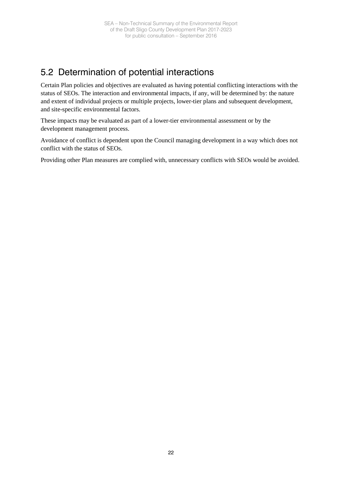# 5.2 Determination of potential interactions

Certain Plan policies and objectives are evaluated as having potential conflicting interactions with the status of SEOs. The interaction and environmental impacts, if any, will be determined by: the nature and extent of individual projects or multiple projects, lower-tier plans and subsequent development, and site-specific environmental factors.

These impacts may be evaluated as part of a lower-tier environmental assessment or by the development management process.

Avoidance of conflict is dependent upon the Council managing development in a way which does not conflict with the status of SEOs.

Providing other Plan measures are complied with, unnecessary conflicts with SEOs would be avoided.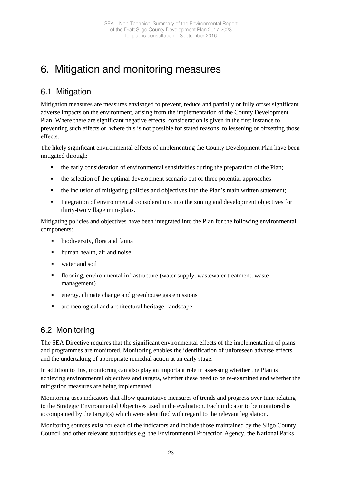# 6. Mitigation and monitoring measures

### 6.1 Mitigation

Mitigation measures are measures envisaged to prevent, reduce and partially or fully offset significant adverse impacts on the environment, arising from the implementation of the County Development Plan. Where there are significant negative effects, consideration is given in the first instance to preventing such effects or, where this is not possible for stated reasons, to lessening or offsetting those effects.

The likely significant environmental effects of implementing the County Development Plan have been mitigated through:

- the early consideration of environmental sensitivities during the preparation of the Plan;
- the selection of the optimal development scenario out of three potential approaches
- the inclusion of mitigating policies and objectives into the Plan's main written statement;
- Integration of environmental considerations into the zoning and development objectives for thirty-two village mini-plans.

Mitigating policies and objectives have been integrated into the Plan for the following environmental components:

- biodiversity, flora and fauna
- human health, air and noise
- water and soil
- flooding, environmental infrastructure (water supply, wastewater treatment, waste management)
- energy, climate change and greenhouse gas emissions
- archaeological and architectural heritage, landscape

#### 6.2 Monitoring

The SEA Directive requires that the significant environmental effects of the implementation of plans and programmes are monitored. Monitoring enables the identification of unforeseen adverse effects and the undertaking of appropriate remedial action at an early stage.

In addition to this, monitoring can also play an important role in assessing whether the Plan is achieving environmental objectives and targets, whether these need to be re-examined and whether the mitigation measures are being implemented.

Monitoring uses indicators that allow quantitative measures of trends and progress over time relating to the Strategic Environmental Objectives used in the evaluation. Each indicator to be monitored is accompanied by the target(s) which were identified with regard to the relevant legislation.

Monitoring sources exist for each of the indicators and include those maintained by the Sligo County Council and other relevant authorities e.g. the Environmental Protection Agency, the National Parks